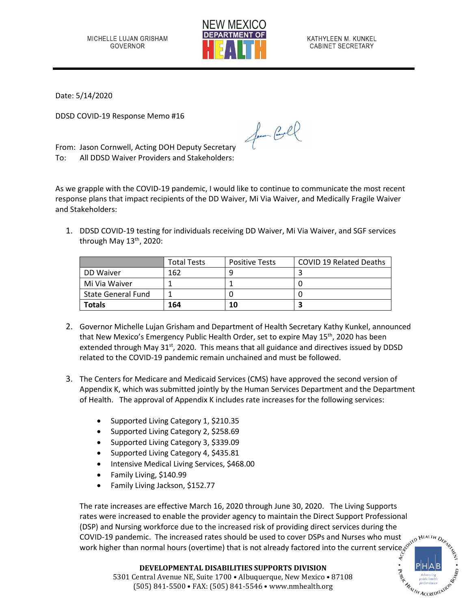

KATHYLEEN M. KUNKEL CABINET SECRETARY

Date: 5/14/2020

DDSD COVID-19 Response Memo #16

From: Jason Cornwell, Acting DOH Deputy Secretary To: All DDSD Waiver Providers and Stakeholders:

As we grapple with the COVID-19 pandemic, I would like to continue to communicate the most recent response plans that impact recipients of the DD Waiver, Mi Via Waiver, and Medically Fragile Waiver and Stakeholders:

for Cool

1. DDSD COVID-19 testing for individuals receiving DD Waiver, Mi Via Waiver, and SGF services through May 13<sup>th</sup>, 2020:

|                           | <b>Total Tests</b> | <b>Positive Tests</b> | <b>COVID 19 Related Deaths</b> |
|---------------------------|--------------------|-----------------------|--------------------------------|
| DD Waiver                 | 162                |                       |                                |
| Mi Via Waiver             |                    |                       |                                |
| <b>State General Fund</b> |                    |                       |                                |
| Totals                    | 164                | 10                    |                                |

- 2. Governor Michelle Lujan Grisham and Department of Health Secretary Kathy Kunkel, announced that New Mexico's Emergency Public Health Order, set to expire May 15<sup>th</sup>, 2020 has been extended through May 31<sup>st</sup>, 2020. This means that all guidance and directives issued by DDSD related to the COVID-19 pandemic remain unchained and must be followed.
- 3. The Centers for Medicare and Medicaid Services (CMS) have approved the second version of Appendix K, which was submitted jointly by the Human Services Department and the Department of Health. The approval of Appendix K includes rate increases for the following services:
	- Supported Living Category 1, \$210.35
	- Supported Living Category 2, \$258.69
	- Supported Living Category 3, \$339.09
	- Supported Living Category 4, \$435.81
	- Intensive Medical Living Services, \$468.00
	- Family Living, \$140.99
	- Family Living Jackson, \$152.77

The rate increases are effective March 16, 2020 through June 30, 2020. The Living Supports rates were increased to enable the provider agency to maintain the Direct Support Professional (DSP) and Nursing workforce due to the increased risk of providing direct services during the COVID-19 pandemic. The increased rates should be used to cover DSPs and Nurses who must work higher than normal hours (overtime) that is not already factored into the current service,

**Execution ACCREDITATIC**